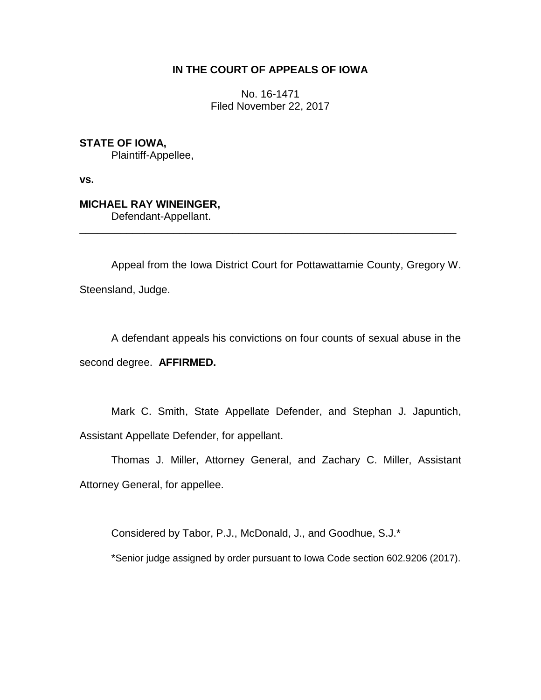# **IN THE COURT OF APPEALS OF IOWA**

No. 16-1471 Filed November 22, 2017

**STATE OF IOWA,** Plaintiff-Appellee,

**vs.**

**MICHAEL RAY WINEINGER,**

Defendant-Appellant.

Appeal from the Iowa District Court for Pottawattamie County, Gregory W. Steensland, Judge.

\_\_\_\_\_\_\_\_\_\_\_\_\_\_\_\_\_\_\_\_\_\_\_\_\_\_\_\_\_\_\_\_\_\_\_\_\_\_\_\_\_\_\_\_\_\_\_\_\_\_\_\_\_\_\_\_\_\_\_\_\_\_\_\_

A defendant appeals his convictions on four counts of sexual abuse in the second degree. **AFFIRMED.**

Mark C. Smith, State Appellate Defender, and Stephan J. Japuntich, Assistant Appellate Defender, for appellant.

Thomas J. Miller, Attorney General, and Zachary C. Miller, Assistant Attorney General, for appellee.

Considered by Tabor, P.J., McDonald, J., and Goodhue, S.J.\*

\*Senior judge assigned by order pursuant to Iowa Code section 602.9206 (2017).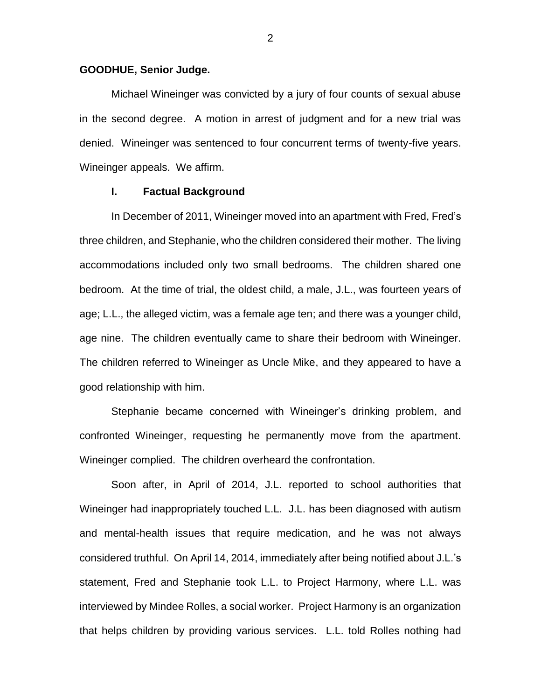### **GOODHUE, Senior Judge.**

Michael Wineinger was convicted by a jury of four counts of sexual abuse in the second degree. A motion in arrest of judgment and for a new trial was denied. Wineinger was sentenced to four concurrent terms of twenty-five years. Wineinger appeals. We affirm.

## **I. Factual Background**

In December of 2011, Wineinger moved into an apartment with Fred, Fred's three children, and Stephanie, who the children considered their mother. The living accommodations included only two small bedrooms. The children shared one bedroom. At the time of trial, the oldest child, a male, J.L., was fourteen years of age; L.L., the alleged victim, was a female age ten; and there was a younger child, age nine. The children eventually came to share their bedroom with Wineinger. The children referred to Wineinger as Uncle Mike, and they appeared to have a good relationship with him.

Stephanie became concerned with Wineinger's drinking problem, and confronted Wineinger, requesting he permanently move from the apartment. Wineinger complied. The children overheard the confrontation.

Soon after, in April of 2014, J.L. reported to school authorities that Wineinger had inappropriately touched L.L. J.L. has been diagnosed with autism and mental-health issues that require medication, and he was not always considered truthful. On April 14, 2014, immediately after being notified about J.L.'s statement, Fred and Stephanie took L.L. to Project Harmony, where L.L. was interviewed by Mindee Rolles, a social worker. Project Harmony is an organization that helps children by providing various services. L.L. told Rolles nothing had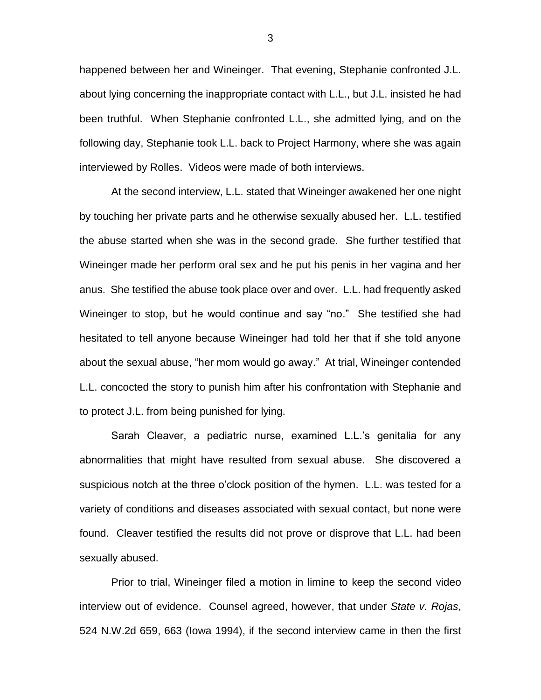happened between her and Wineinger. That evening, Stephanie confronted J.L. about lying concerning the inappropriate contact with L.L., but J.L. insisted he had been truthful. When Stephanie confronted L.L., she admitted lying, and on the following day, Stephanie took L.L. back to Project Harmony, where she was again interviewed by Rolles. Videos were made of both interviews.

At the second interview, L.L. stated that Wineinger awakened her one night by touching her private parts and he otherwise sexually abused her. L.L. testified the abuse started when she was in the second grade. She further testified that Wineinger made her perform oral sex and he put his penis in her vagina and her anus. She testified the abuse took place over and over. L.L. had frequently asked Wineinger to stop, but he would continue and say "no." She testified she had hesitated to tell anyone because Wineinger had told her that if she told anyone about the sexual abuse, "her mom would go away." At trial, Wineinger contended L.L. concocted the story to punish him after his confrontation with Stephanie and to protect J.L. from being punished for lying.

Sarah Cleaver, a pediatric nurse, examined L.L.'s genitalia for any abnormalities that might have resulted from sexual abuse. She discovered a suspicious notch at the three o'clock position of the hymen. L.L. was tested for a variety of conditions and diseases associated with sexual contact, but none were found. Cleaver testified the results did not prove or disprove that L.L. had been sexually abused.

Prior to trial, Wineinger filed a motion in limine to keep the second video interview out of evidence. Counsel agreed, however, that under *State v. Rojas*, 524 N.W.2d 659, 663 (Iowa 1994), if the second interview came in then the first

3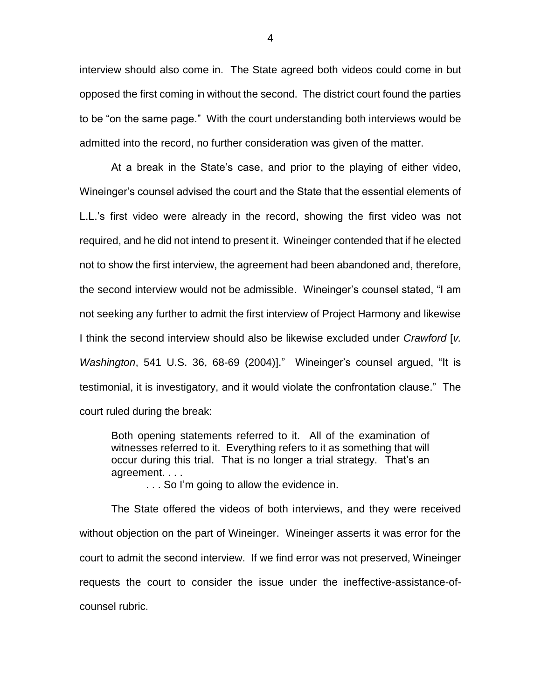interview should also come in. The State agreed both videos could come in but opposed the first coming in without the second. The district court found the parties to be "on the same page." With the court understanding both interviews would be admitted into the record, no further consideration was given of the matter.

At a break in the State's case, and prior to the playing of either video, Wineinger's counsel advised the court and the State that the essential elements of L.L.'s first video were already in the record, showing the first video was not required, and he did not intend to present it. Wineinger contended that if he elected not to show the first interview, the agreement had been abandoned and, therefore, the second interview would not be admissible. Wineinger's counsel stated, "I am not seeking any further to admit the first interview of Project Harmony and likewise I think the second interview should also be likewise excluded under *Crawford* [*v. Washington*, 541 U.S. 36, 68-69 (2004)]." Wineinger's counsel argued, "It is testimonial, it is investigatory, and it would violate the confrontation clause." The court ruled during the break:

Both opening statements referred to it. All of the examination of witnesses referred to it. Everything refers to it as something that will occur during this trial. That is no longer a trial strategy. That's an agreement. . . .

. . . So I'm going to allow the evidence in.

The State offered the videos of both interviews, and they were received without objection on the part of Wineinger. Wineinger asserts it was error for the court to admit the second interview. If we find error was not preserved, Wineinger requests the court to consider the issue under the ineffective-assistance-ofcounsel rubric.

4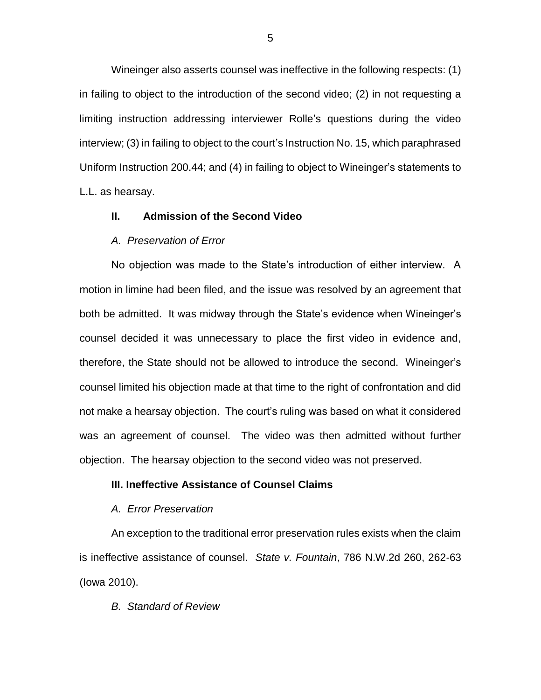Wineinger also asserts counsel was ineffective in the following respects: (1) in failing to object to the introduction of the second video; (2) in not requesting a limiting instruction addressing interviewer Rolle's questions during the video interview; (3) in failing to object to the court's Instruction No. 15, which paraphrased Uniform Instruction 200.44; and (4) in failing to object to Wineinger's statements to L.L. as hearsay.

# **II. Admission of the Second Video**

#### *A. Preservation of Error*

No objection was made to the State's introduction of either interview. A motion in limine had been filed, and the issue was resolved by an agreement that both be admitted. It was midway through the State's evidence when Wineinger's counsel decided it was unnecessary to place the first video in evidence and, therefore, the State should not be allowed to introduce the second. Wineinger's counsel limited his objection made at that time to the right of confrontation and did not make a hearsay objection. The court's ruling was based on what it considered was an agreement of counsel. The video was then admitted without further objection. The hearsay objection to the second video was not preserved.

# **III. Ineffective Assistance of Counsel Claims**

#### *A. Error Preservation*

An exception to the traditional error preservation rules exists when the claim is ineffective assistance of counsel. *State v. Fountain*, 786 N.W.2d 260, 262-63 (Iowa 2010).

#### *B. Standard of Review*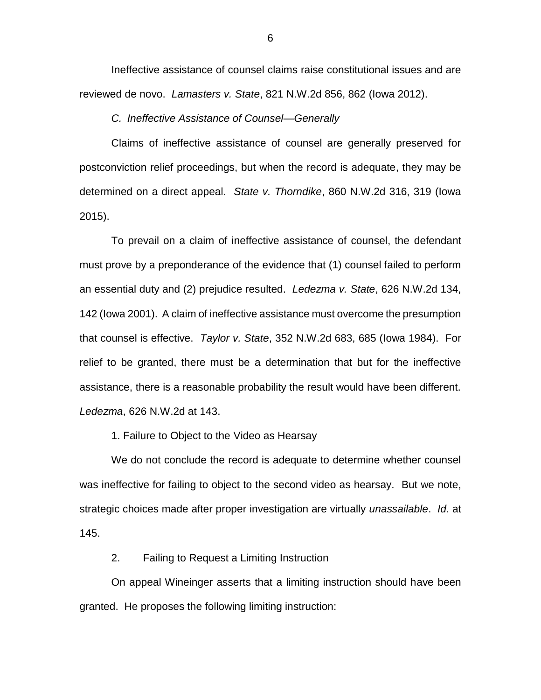Ineffective assistance of counsel claims raise constitutional issues and are reviewed de novo. *Lamasters v. State*, 821 N.W.2d 856, 862 (Iowa 2012).

*C. Ineffective Assistance of Counsel—Generally*

Claims of ineffective assistance of counsel are generally preserved for postconviction relief proceedings, but when the record is adequate, they may be determined on a direct appeal. *State v. Thorndike*, 860 N.W.2d 316, 319 (Iowa 2015).

To prevail on a claim of ineffective assistance of counsel, the defendant must prove by a preponderance of the evidence that (1) counsel failed to perform an essential duty and (2) prejudice resulted. *Ledezma v. State*, 626 N.W.2d 134, 142 (Iowa 2001). A claim of ineffective assistance must overcome the presumption that counsel is effective. *Taylor v. State*, 352 N.W.2d 683, 685 (Iowa 1984). For relief to be granted, there must be a determination that but for the ineffective assistance, there is a reasonable probability the result would have been different. *Ledezma*, 626 N.W.2d at 143.

1. Failure to Object to the Video as Hearsay

We do not conclude the record is adequate to determine whether counsel was ineffective for failing to object to the second video as hearsay. But we note, strategic choices made after proper investigation are virtually *unassailable*. *Id.* at 145.

2. Failing to Request a Limiting Instruction

On appeal Wineinger asserts that a limiting instruction should have been granted. He proposes the following limiting instruction: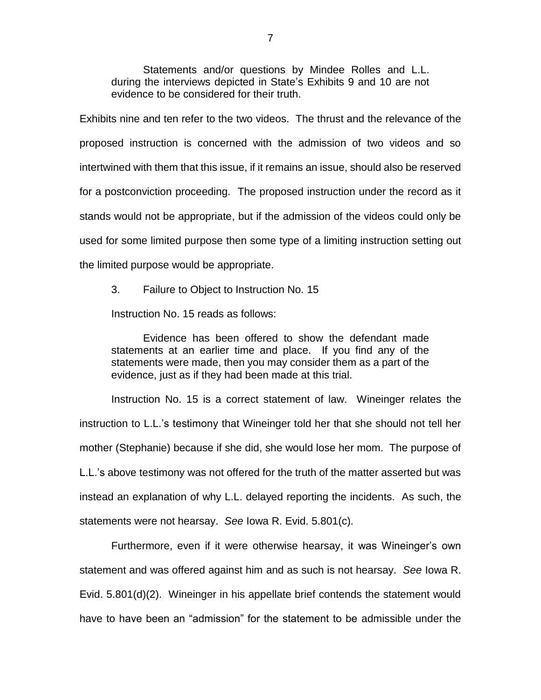Statements and/or questions by Mindee Rolles and L.L. during the interviews depicted in State's Exhibits 9 and 10 are not evidence to be considered for their truth.

Exhibits nine and ten refer to the two videos. The thrust and the relevance of the proposed instruction is concerned with the admission of two videos and so intertwined with them that this issue, if it remains an issue, should also be reserved for a postconviction proceeding. The proposed instruction under the record as it stands would not be appropriate, but if the admission of the videos could only be used for some limited purpose then some type of a limiting instruction setting out the limited purpose would be appropriate.

3. Failure to Object to Instruction No. 15

Instruction No. 15 reads as follows:

Evidence has been offered to show the defendant made statements at an earlier time and place. If you find any of the statements were made, then you may consider them as a part of the evidence, just as if they had been made at this trial.

Instruction No. 15 is a correct statement of law. Wineinger relates the instruction to L.L.'s testimony that Wineinger told her that she should not tell her mother (Stephanie) because if she did, she would lose her mom. The purpose of L.L.'s above testimony was not offered for the truth of the matter asserted but was instead an explanation of why L.L. delayed reporting the incidents. As such, the statements were not hearsay. *See* Iowa R. Evid. 5.801(c).

Furthermore, even if it were otherwise hearsay, it was Wineinger's own statement and was offered against him and as such is not hearsay. *See* Iowa R. Evid. 5.801(d)(2). Wineinger in his appellate brief contends the statement would have to have been an "admission" for the statement to be admissible under the